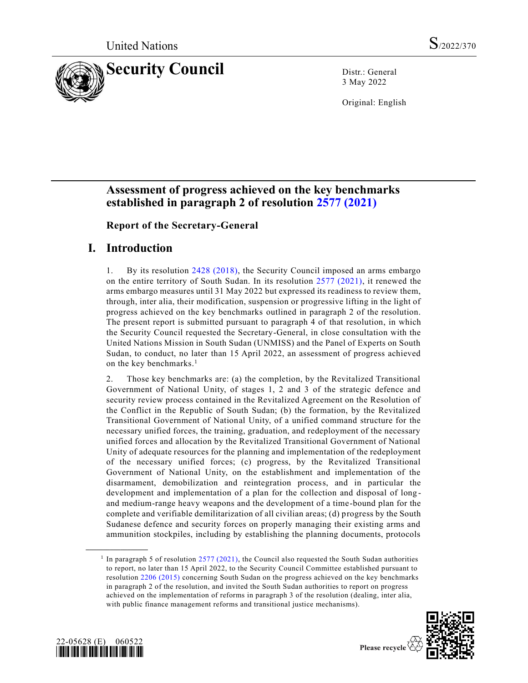

3 May 2022

Original: English

# **Assessment of progress achieved on the key benchmarks established in paragraph 2 of resolution [2577 \(2021\)](https://undocs.org/en/S/RES/2577(2021))**

**Report of the Secretary-General** 

## **I. Introduction**

1. By its resolution [2428 \(2018\),](https://undocs.org/en/S/RES/2428(2018)) the Security Council imposed an arms embargo on the entire territory of South Sudan. In its resolution [2577 \(2021\),](https://undocs.org/en/S/RES/2577(2021)) it renewed the arms embargo measures until 31 May 2022 but expressed its readiness to review them, through, inter alia, their modification, suspension or progressive lifting in the light of progress achieved on the key benchmarks outlined in paragraph 2 of the resolution. The present report is submitted pursuant to paragraph 4 of that resolution, in which the Security Council requested the Secretary-General, in close consultation with the United Nations Mission in South Sudan (UNMISS) and the Panel of Experts on South Sudan, to conduct, no later than 15 April 2022, an assessment of progress achieved on the key benchmarks. 1

2. Those key benchmarks are: (a) the completion, by the Revitalized Transitional Government of National Unity, of stages 1, 2 and 3 of the strategic defence and security review process contained in the Revitalized Agreement on the Resolution of the Conflict in the Republic of South Sudan; (b) the formation, by the Revitalized Transitional Government of National Unity, of a unified command structure for the necessary unified forces, the training, graduation, and redeployment of the necessary unified forces and allocation by the Revitalized Transitional Government of National Unity of adequate resources for the planning and implementation of the redeployment of the necessary unified forces; (c) progress, by the Revitalized Transitional Government of National Unity, on the establishment and implementation of the disarmament, demobilization and reintegration process, and in particular the development and implementation of a plan for the collection and disposal of long and medium-range heavy weapons and the development of a time-bound plan for the complete and verifiable demilitarization of all civilian areas; (d) progress by the South Sudanese defence and security forces on properly managing their existing arms and ammunition stockpiles, including by establishing the planning documents, protocols

<sup>&</sup>lt;sup>1</sup> In paragraph 5 of resolution [2577 \(2021\),](https://undocs.org/en/S/RES/2577(2021)) the Council also requested the South Sudan authorities to report, no later than 15 April 2022, to the Security Council Committee established pursuant to resolution [2206 \(2015\)](https://undocs.org/en/S/RES/2206(2015)) concerning South Sudan on the progress achieved on the key benchmarks in paragraph 2 of the resolution, and invited the South Sudan authorities to report on progress achieved on the implementation of reforms in paragraph 3 of the resolution (dealing, inter alia, with public finance management reforms and transitional justice mechanisms).



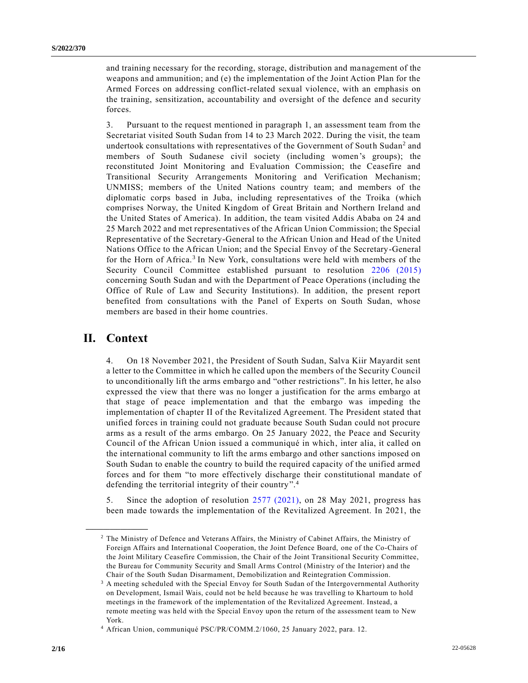and training necessary for the recording, storage, distribution and management of the weapons and ammunition; and (e) the implementation of the Joint Action Plan for the Armed Forces on addressing conflict-related sexual violence, with an emphasis on the training, sensitization, accountability and oversight of the defence and security forces.

3. Pursuant to the request mentioned in paragraph 1, an assessment team from the Secretariat visited South Sudan from 14 to 23 March 2022. During the visit, the team undertook consultations with representatives of the Government of South Sudan<sup>2</sup> and members of South Sudanese civil society (including women's groups); the reconstituted Joint Monitoring and Evaluation Commission; the Ceasefire and Transitional Security Arrangements Monitoring and Verification Mechanism; UNMISS; members of the United Nations country team; and members of the diplomatic corps based in Juba, including representatives of the Troika (which comprises Norway, the United Kingdom of Great Britain and Northern Ireland and the United States of America). In addition, the team visited Addis Ababa on 24 and 25 March 2022 and met representatives of the African Union Commission; the Special Representative of the Secretary-General to the African Union and Head of the United Nations Office to the African Union; and the Special Envoy of the Secretary-General for the Horn of Africa.<sup>3</sup> In New York, consultations were held with members of the Security Council Committee established pursuant to resolution [2206 \(2015\)](https://undocs.org/en/S/RES/2206(2015)) concerning South Sudan and with the Department of Peace Operations (including the Office of Rule of Law and Security Institutions). In addition, the present report benefited from consultations with the Panel of Experts on South Sudan, whose members are based in their home countries.

## **II. Context**

**\_\_\_\_\_\_\_\_\_\_\_\_\_\_\_\_\_\_**

4. On 18 November 2021, the President of South Sudan, Salva Kiir Mayardit sent a letter to the Committee in which he called upon the members of the Security Council to unconditionally lift the arms embargo and "other restrictions". In his letter, he also expressed the view that there was no longer a justification for the arms embargo at that stage of peace implementation and that the embargo was impeding the implementation of chapter II of the Revitalized Agreement. The President stated that unified forces in training could not graduate because South Sudan could not procure arms as a result of the arms embargo. On 25 January 2022, the Peace and Security Council of the African Union issued a communiqué in which, inter alia, it called on the international community to lift the arms embargo and other sanctions imposed on South Sudan to enable the country to build the required capacity of the unified armed forces and for them "to more effectively discharge their constitutional mandate of defending the territorial integrity of their country".<sup>4</sup>

5. Since the adoption of resolution [2577 \(2021\),](https://undocs.org/en/S/RES/2577(2021)) on 28 May 2021, progress has been made towards the implementation of the Revitalized Agreement. In 2021, the

<sup>2</sup> The Ministry of Defence and Veterans Affairs, the Ministry of Cabinet Affairs, the Ministry of Foreign Affairs and International Cooperation, the Joint Defence Board, one of the Co-Chairs of the Joint Military Ceasefire Commission, the Chair of the Joint Transitional Security Committee, the Bureau for Community Security and Small Arms Control (Ministry of the Interior) and the Chair of the South Sudan Disarmament, Demobilization and Reintegration Commission.

<sup>&</sup>lt;sup>3</sup> A meeting scheduled with the Special Envoy for South Sudan of the Intergovernmental Authority on Development, Ismail Wais, could not be held because he was travelling to Khartoum to hold meetings in the framework of the implementation of the Revitalized Agreement. Instead, a remote meeting was held with the Special Envoy upon the return of the assessment team to New York.

<sup>4</sup> African Union, communiqué PSC/PR/COMM.2/1060, 25 January 2022, para. 12.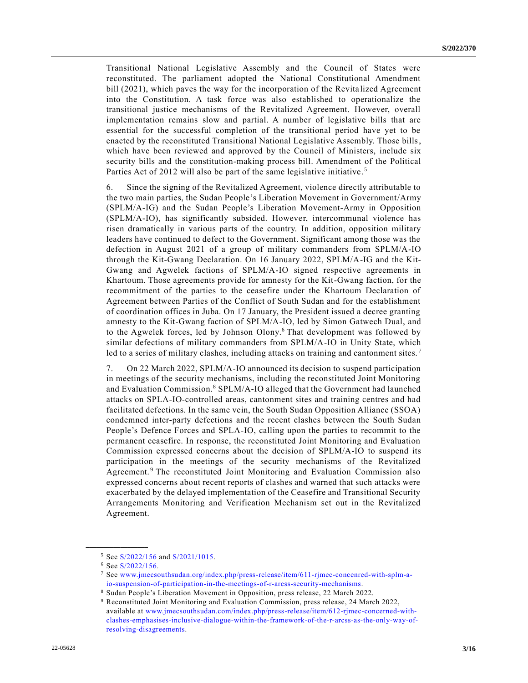Transitional National Legislative Assembly and the Council of States were reconstituted. The parliament adopted the National Constitutional Amendment bill (2021), which paves the way for the incorporation of the Revita lized Agreement into the Constitution. A task force was also established to operationalize the transitional justice mechanisms of the Revitalized Agreement. However, overall implementation remains slow and partial. A number of legislative bills that are essential for the successful completion of the transitional period have yet to be enacted by the reconstituted Transitional National Legislative Assembly. Those bills, which have been reviewed and approved by the Council of Ministers, include six security bills and the constitution-making process bill. Amendment of the Political Parties Act of 2012 will also be part of the same legislative initiative.<sup>5</sup>

6. Since the signing of the Revitalized Agreement, violence directly attributable to the two main parties, the Sudan People's Liberation Movement in Government/Army (SPLM/A-IG) and the Sudan People's Liberation Movement-Army in Opposition (SPLM/A-IO), has significantly subsided. However, intercommunal violence has risen dramatically in various parts of the country. In addition, opposition military leaders have continued to defect to the Government. Significant among those was the defection in August 2021 of a group of military commanders from SPLM/A-IO through the Kit-Gwang Declaration. On 16 January 2022, SPLM/A-IG and the Kit-Gwang and Agwelek factions of SPLM/A-IO signed respective agreements in Khartoum. Those agreements provide for amnesty for the Kit-Gwang faction, for the recommitment of the parties to the ceasefire under the Khartoum Declaration of Agreement between Parties of the Conflict of South Sudan and for the establishment of coordination offices in Juba. On 17 January, the President issued a decree granting amnesty to the Kit-Gwang faction of SPLM/A-IO, led by Simon Gatwech Dual, and to the Agwelek forces, led by Johnson Olony. <sup>6</sup> That development was followed by similar defections of military commanders from SPLM/A-IO in Unity State, which led to a series of military clashes, including attacks on training and cantonment sites.<sup>7</sup>

7. On 22 March 2022, SPLM/A-IO announced its decision to suspend participation in meetings of the security mechanisms, including the reconstituted Joint Monitoring and Evaluation Commission.<sup>8</sup> SPLM/A-IO alleged that the Government had launched attacks on SPLA-IO-controlled areas, cantonment sites and training centres and had facilitated defections. In the same vein, the South Sudan Opposition Alliance (SSOA) condemned inter-party defections and the recent clashes between the South Sudan People's Defence Forces and SPLA-IO, calling upon the parties to recommit to the permanent ceasefire. In response, the reconstituted Joint Monitoring and Evaluation Commission expressed concerns about the decision of SPLM/A-IO to suspend its participation in the meetings of the security mechanisms of the Revitalized Agreement.<sup>9</sup> The reconstituted Joint Monitoring and Evaluation Commission also expressed concerns about recent reports of clashes and warned that such attacks were exacerbated by the delayed implementation of the Ceasefire and Transitional Security Arrangements Monitoring and Verification Mechanism set out in the Revitalized Agreement.

<sup>5</sup> See [S/2022/156](https://undocs.org/en/S/2022/156) and [S/2021/1015.](https://undocs.org/en/S/2021/1015)

<sup>6</sup> See [S/2022/156.](https://undocs.org/en/S/2022/156)

<sup>7</sup> See [www.jmecsouthsudan.org/index.php/press-release/item/611-rjmec-concenred-with-splm-a](http://www.jmecsouthsudan.org/index.php/press-release/item/611-rjmec-concenred-with-splm-a-io-suspension-of-participation-in-the-meetings-of-r-arcss-security-mechanisms)[io-suspension-of-participation-in-the-meetings-of-r-arcss-security-mechanisms.](http://www.jmecsouthsudan.org/index.php/press-release/item/611-rjmec-concenred-with-splm-a-io-suspension-of-participation-in-the-meetings-of-r-arcss-security-mechanisms)

<sup>8</sup> Sudan People's Liberation Movement in Opposition, press release, 22 March 2022.

<sup>9</sup> Reconstituted Joint Monitoring and Evaluation Commission, press release, 24 March 2022, available at [www.jmecsouthsudan.com/index.php/press-release/item/612-rjmec-concerned-with](http://www.jmecsouthsudan.com/index.php/press-release/item/612-rjmec-concerned-with-clashes-emphasises-inclusive-dialogue-within-the-framework-of-the-r-arcss-as-the-only-way-of-resolving-disagreements)[clashes-emphasises-inclusive-dialogue-within-the-framework-of-the-r-arcss-as-the-only-way-of](http://www.jmecsouthsudan.com/index.php/press-release/item/612-rjmec-concerned-with-clashes-emphasises-inclusive-dialogue-within-the-framework-of-the-r-arcss-as-the-only-way-of-resolving-disagreements)[resolving-disagreements.](http://www.jmecsouthsudan.com/index.php/press-release/item/612-rjmec-concerned-with-clashes-emphasises-inclusive-dialogue-within-the-framework-of-the-r-arcss-as-the-only-way-of-resolving-disagreements)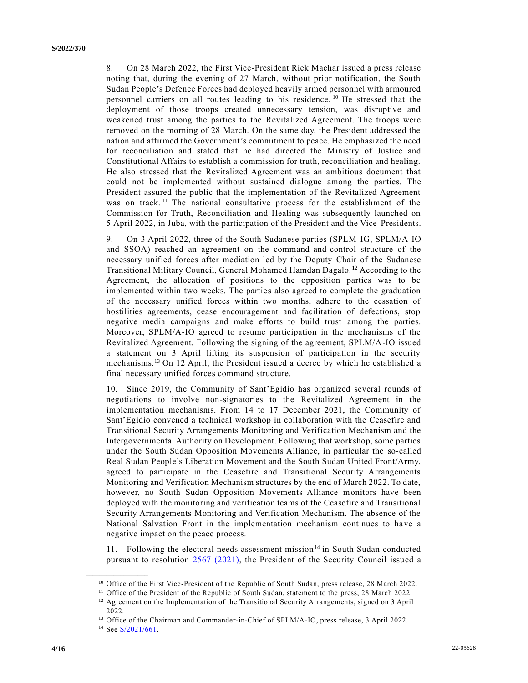8. On 28 March 2022, the First Vice-President Riek Machar issued a press release noting that, during the evening of 27 March, without prior notification, the South Sudan People's Defence Forces had deployed heavily armed personnel with armoured personnel carriers on all routes leading to his residence.<sup>10</sup> He stressed that the deployment of those troops created unnecessary tension, was disruptive and weakened trust among the parties to the Revitalized Agreement. The troops were removed on the morning of 28 March. On the same day, the President addressed the nation and affirmed the Government's commitment to peace. He emphasized the need for reconciliation and stated that he had directed the Ministry of Justice and Constitutional Affairs to establish a commission for truth, reconciliation and healing. He also stressed that the Revitalized Agreement was an ambitious document that could not be implemented without sustained dialogue among the parties. The President assured the public that the implementation of the Revitalized Agreement was on track.<sup>11</sup> The national consultative process for the establishment of the Commission for Truth, Reconciliation and Healing was subsequently launched on 5 April 2022, in Juba, with the participation of the President and the Vice-Presidents.

9. On 3 April 2022, three of the South Sudanese parties (SPLM-IG, SPLM/A-IO and SSOA) reached an agreement on the command-and-control structure of the necessary unified forces after mediation led by the Deputy Chair of the Sudanese Transitional Military Council, General Mohamed Hamdan Dagalo. <sup>12</sup> According to the Agreement, the allocation of positions to the opposition parties was to be implemented within two weeks. The parties also agreed to complete the graduation of the necessary unified forces within two months, adhere to the cessation of hostilities agreements, cease encouragement and facilitation of defections, stop negative media campaigns and make efforts to build trust among the parties. Moreover, SPLM/A-IO agreed to resume participation in the mechanisms of the Revitalized Agreement. Following the signing of the agreement, SPLM/A-IO issued a statement on 3 April lifting its suspension of participation in the security mechanisms.<sup>13</sup> On 12 April, the President issued a decree by which he established a final necessary unified forces command structure.

10. Since 2019, the Community of Sant'Egidio has organized several rounds of negotiations to involve non-signatories to the Revitalized Agreement in the implementation mechanisms. From 14 to 17 December 2021, the Community of Sant'Egidio convened a technical workshop in collaboration with the Ceasefire and Transitional Security Arrangements Monitoring and Verification Mechanism and the Intergovernmental Authority on Development. Following that workshop, some parties under the South Sudan Opposition Movements Alliance, in particular the so-called Real Sudan People's Liberation Movement and the South Sudan United Front/Army, agreed to participate in the Ceasefire and Transitional Security Arrangements Monitoring and Verification Mechanism structures by the end of March 2022. To date, however, no South Sudan Opposition Movements Alliance monitors have been deployed with the monitoring and verification teams of the Ceasefire and Transitional Security Arrangements Monitoring and Verification Mechanism. The absence of the National Salvation Front in the implementation mechanism continues to have a negative impact on the peace process.

11. Following the electoral needs assessment mission<sup>14</sup> in South Sudan conducted pursuant to resolution [2567 \(2021\),](https://undocs.org/en/S/RES/2567(2021)) the President of the Security Council issued a

<sup>&</sup>lt;sup>10</sup> Office of the First Vice-President of the Republic of South Sudan, press release, 28 March 2022.

<sup>&</sup>lt;sup>11</sup> Office of the President of the Republic of South Sudan, statement to the press, 28 March 2022.

<sup>&</sup>lt;sup>12</sup> Agreement on the Implementation of the Transitional Security Arrangements, signed on 3 April 2022.

<sup>&</sup>lt;sup>13</sup> Office of the Chairman and Commander-in-Chief of SPLM/A-IO, press release, 3 April 2022.

 $14$  See [S/2021/661.](https://undocs.org/en/S/2021/661)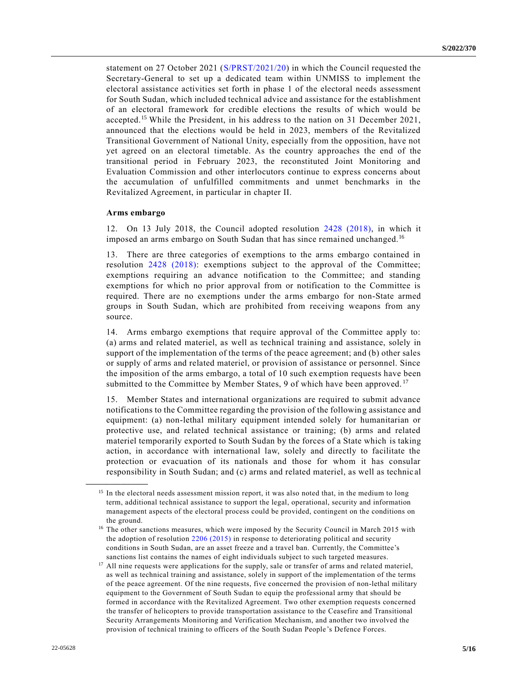statement on 27 October 2021 [\(S/PRST/2021/20\)](https://undocs.org/en/S/PRST/2021/20) in which the Council requested the Secretary‑General to set up a dedicated team within UNMISS to implement the electoral assistance activities set forth in phase 1 of the electoral needs assessment for South Sudan, which included technical advice and assistance for the establishment of an electoral framework for credible elections the results of which would be accepted.<sup>15</sup> While the President, in his address to the nation on 31 December 2021, announced that the elections would be held in 2023, members of the Revitalized Transitional Government of National Unity, especially from the opposition, have not yet agreed on an electoral timetable. As the country approaches the end of the transitional period in February 2023, the reconstituted Joint Monitoring and Evaluation Commission and other interlocutors continue to express concerns about the accumulation of unfulfilled commitments and unmet benchmarks in the Revitalized Agreement, in particular in chapter II.

#### **Arms embargo**

**\_\_\_\_\_\_\_\_\_\_\_\_\_\_\_\_\_\_**

12. On 13 July 2018, the Council adopted resolution [2428 \(2018\),](https://undocs.org/en/S/RES/2428(2018)) in which it imposed an arms embargo on South Sudan that has since remained unchanged.<sup>16</sup>

13. There are three categories of exemptions to the arms embargo contained in resolution [2428 \(2018\):](https://undocs.org/en/S/RES/2428(2018)) exemptions subject to the approval of the Committee; exemptions requiring an advance notification to the Committee; and standing exemptions for which no prior approval from or notification to the Committee is required. There are no exemptions under the arms embargo for non-State armed groups in South Sudan, which are prohibited from receiving weapons from any source.

14. Arms embargo exemptions that require approval of the Committee apply to: (a) arms and related materiel, as well as technical training and assistance, solely in support of the implementation of the terms of the peace agreement; and (b) other sales or supply of arms and related materiel, or provision of assistance or personnel. Since the imposition of the arms embargo, a total of 10 such exemption requests have been submitted to the Committee by Member States, 9 of which have been approved.<sup>17</sup>

15. Member States and international organizations are required to submit advance notifications to the Committee regarding the provision of the following assistance and equipment: (a) non-lethal military equipment intended solely for humanitarian or protective use, and related technical assistance or training; (b) arms and related materiel temporarily exported to South Sudan by the forces of a State which is taking action, in accordance with international law, solely and directly to facilitate the protection or evacuation of its nationals and those for whom it has consular responsibility in South Sudan; and (c) arms and related materiel, as well as technic al

<sup>&</sup>lt;sup>15</sup> In the electoral needs assessment mission report, it was also noted that, in the medium to long term, additional technical assistance to support the legal, operational, security and information management aspects of the electoral process could be provided, contingent on the conditions on the ground.

<sup>&</sup>lt;sup>16</sup> The other sanctions measures, which were imposed by the Security Council in March 2015 with the adoption of resolution [2206 \(2015\)](https://undocs.org/en/S/RES/2206(2015)) in response to deteriorating political and security conditions in South Sudan, are an asset freeze and a travel ban. Currently, the Committee's sanctions list contains the names of eight individuals subject to such targeted measures.

<sup>&</sup>lt;sup>17</sup> All nine requests were applications for the supply, sale or transfer of arms and related materiel, as well as technical training and assistance, solely in support of the implementation of the terms of the peace agreement. Of the nine requests, five concerned the provision of non-lethal military equipment to the Government of South Sudan to equip the professional army that should be formed in accordance with the Revitalized Agreement. Two other exemption requests concerned the transfer of helicopters to provide transportation assistance to the Ceasefire and Transitional Security Arrangements Monitoring and Verification Mechanism, and another two involved the provision of technical training to officers of the South Sudan People's Defence Forces.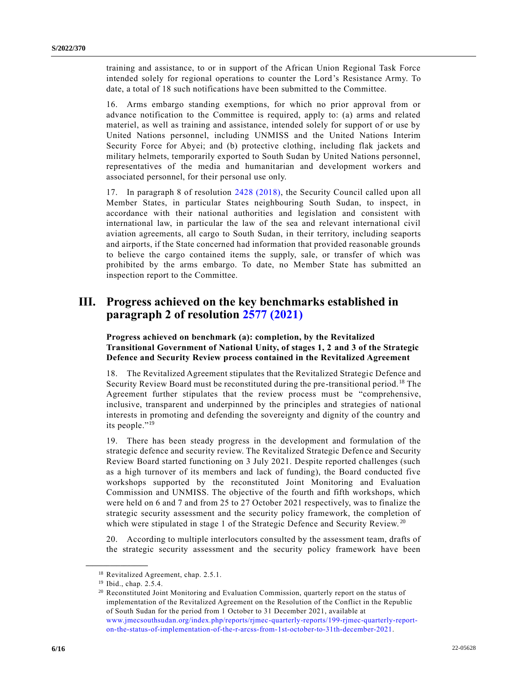training and assistance, to or in support of the African Union Regional Task Force intended solely for regional operations to counter the Lord's Resistance Army. To date, a total of 18 such notifications have been submitted to the Committee.

16. Arms embargo standing exemptions, for which no prior approval from or advance notification to the Committee is required, apply to: (a) arms and related materiel, as well as training and assistance, intended solely for support of or use by United Nations personnel, including UNMISS and the United Nations Interim Security Force for Abyei; and (b) protective clothing, including flak jackets and military helmets, temporarily exported to South Sudan by United Nations personnel, representatives of the media and humanitarian and development workers and associated personnel, for their personal use only.

17. In paragraph 8 of resolution [2428 \(2018\),](https://undocs.org/en/S/RES/2428(2018)) the Security Council called upon all Member States, in particular States neighbouring South Sudan, to inspect, in accordance with their national authorities and legislation and consistent with international law, in particular the law of the sea and relevant international civil aviation agreements, all cargo to South Sudan, in their territory, including seaports and airports, if the State concerned had information that provided reasonable grounds to believe the cargo contained items the supply, sale, or transfer of which was prohibited by the arms embargo. To date, no Member State has submitted an inspection report to the Committee.

## **III. Progress achieved on the key benchmarks established in paragraph 2 of resolution [2577 \(2021\)](https://undocs.org/en/S/RES/2577(2021))**

**Progress achieved on benchmark (a): completion, by the Revitalized Transitional Government of National Unity, of stages 1, 2 and 3 of the Strategic Defence and Security Review process contained in the Revitalized Agreement** 

18. The Revitalized Agreement stipulates that the Revitalized Strategic Defence and Security Review Board must be reconstituted during the pre-transitional period.<sup>18</sup> The Agreement further stipulates that the review process must be "comprehensive, inclusive, transparent and underpinned by the principles and strategies of national interests in promoting and defending the sovereignty and dignity of the country and its people." 19

19. There has been steady progress in the development and formulation of the strategic defence and security review. The Revitalized Strategic Defence and Security Review Board started functioning on 3 July 2021. Despite reported challenges (such as a high turnover of its members and lack of funding), the Board conducted five workshops supported by the reconstituted Joint Monitoring and Evaluation Commission and UNMISS. The objective of the fourth and fifth workshops, which were held on 6 and 7 and from 25 to 27 October 2021 respectively, was to finalize the strategic security assessment and the security policy framework, the completion of which were stipulated in stage 1 of the Strategic Defence and Security Review.<sup>20</sup>

20. According to multiple interlocutors consulted by the assessment team, drafts of the strategic security assessment and the security policy framework have been

<sup>&</sup>lt;sup>18</sup> Revitalized Agreement, chap. 2.5.1.

<sup>19</sup> Ibid., chap. 2.5.4.

<sup>&</sup>lt;sup>20</sup> Reconstituted Joint Monitoring and Evaluation Commission, quarterly report on the status of implementation of the Revitalized Agreement on the Resolution of the Conflict in the Republic of South Sudan for the period from 1 October to 31 December 2021, available at [www.jmecsouthsudan.org/index.php/reports/rjmec-quarterly-reports/199-rjmec-quarterly-report](http://www.jmecsouthsudan.org/index.php/reports/rjmec-quarterly-reports/199-rjmec-quarterly-report-on-the-status-of-implementation-of-the-r-arcss-from-1st-october-to-31th-december-2021)[on-the-status-of-implementation-of-the-r-arcss-from-1st-october-to-31th-december-2021.](http://www.jmecsouthsudan.org/index.php/reports/rjmec-quarterly-reports/199-rjmec-quarterly-report-on-the-status-of-implementation-of-the-r-arcss-from-1st-october-to-31th-december-2021)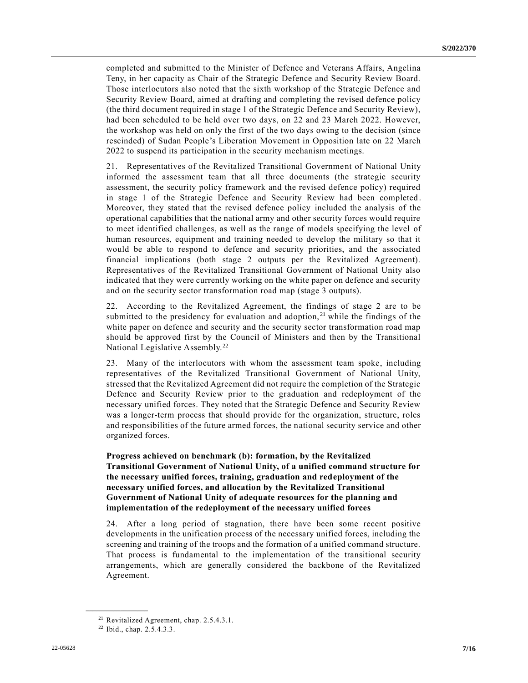completed and submitted to the Minister of Defence and Veterans Affairs, Angelina Teny, in her capacity as Chair of the Strategic Defence and Security Review Board. Those interlocutors also noted that the sixth workshop of the Strategic Defence and Security Review Board, aimed at drafting and completing the revised defence policy (the third document required in stage 1 of the Strategic Defence and Security Review), had been scheduled to be held over two days, on 22 and 23 March 2022. However, the workshop was held on only the first of the two days owing to the decision (since rescinded) of Sudan People's Liberation Movement in Opposition late on 22 March 2022 to suspend its participation in the security mechanism meetings.

21. Representatives of the Revitalized Transitional Government of National Unity informed the assessment team that all three documents (the strategic security assessment, the security policy framework and the revised defence policy) required in stage 1 of the Strategic Defence and Security Review had been completed . Moreover, they stated that the revised defence policy included the analysis of the operational capabilities that the national army and other security forces would require to meet identified challenges, as well as the range of models specifying the level of human resources, equipment and training needed to develop the military so that it would be able to respond to defence and security priorities, and the associated financial implications (both stage 2 outputs per the Revitalized Agreement). Representatives of the Revitalized Transitional Government of National Unity also indicated that they were currently working on the white paper on defence and security and on the security sector transformation road map (stage 3 outputs).

22. According to the Revitalized Agreement, the findings of stage 2 are to be submitted to the presidency for evaluation and adoption,  $21$  while the findings of the white paper on defence and security and the security sector transformation road map should be approved first by the Council of Ministers and then by the Transitional National Legislative Assembly.<sup>22</sup>

23. Many of the interlocutors with whom the assessment team spoke, including representatives of the Revitalized Transitional Government of National Unity, stressed that the Revitalized Agreement did not require the completion of the Strategic Defence and Security Review prior to the graduation and redeployment of the necessary unified forces. They noted that the Strategic Defence and Security Review was a longer-term process that should provide for the organization, structure, roles and responsibilities of the future armed forces, the national security service and other organized forces.

#### **Progress achieved on benchmark (b): formation, by the Revitalized Transitional Government of National Unity, of a unified command structure for the necessary unified forces, training, graduation and redeployment of the necessary unified forces, and allocation by the Revitalized Transitional Government of National Unity of adequate resources for the planning and implementation of the redeployment of the necessary unified forces**

24. After a long period of stagnation, there have been some recent positive developments in the unification process of the necessary unified forces, including the screening and training of the troops and the formation of a unified command structure. That process is fundamental to the implementation of the transitional security arrangements, which are generally considered the backbone of the Revitalized Agreement.

<sup>21</sup> Revitalized Agreement, chap. 2.5.4.3.1.

<sup>22</sup> Ibid., chap. 2.5.4.3.3.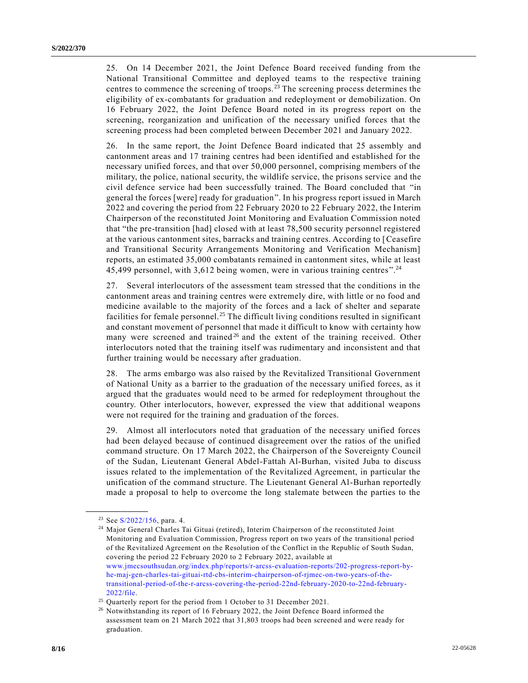25. On 14 December 2021, the Joint Defence Board received funding from the National Transitional Committee and deployed teams to the respective training centres to commence the screening of troops. <sup>23</sup> The screening process determines the eligibility of ex-combatants for graduation and redeployment or demobilization. On 16 February 2022, the Joint Defence Board noted in its progress report on the screening, reorganization and unification of the necessary unified forces that the screening process had been completed between December 2021 and January 2022.

26. In the same report, the Joint Defence Board indicated that 25 assembly and cantonment areas and 17 training centres had been identified and established for the necessary unified forces, and that over 50,000 personnel, comprising members of the military, the police, national security, the wildlife service, the prisons service and the civil defence service had been successfully trained. The Board concluded that "in general the forces [were] ready for graduation". In his progress report issued in March 2022 and covering the period from 22 February 2020 to 22 February 2022, the Interim Chairperson of the reconstituted Joint Monitoring and Evaluation Commission noted that "the pre-transition [had] closed with at least 78,500 security personnel registered at the various cantonment sites, barracks and training centres. According to [Ceasefire and Transitional Security Arrangements Monitoring and Verification Mechanism] reports, an estimated 35,000 combatants remained in cantonment sites, while at least 45,499 personnel, with 3,612 being women, were in various training centres".<sup>24</sup>

27. Several interlocutors of the assessment team stressed that the conditions in the cantonment areas and training centres were extremely dire, with little or no food and medicine available to the majority of the forces and a lack of shelter and separate facilities for female personnel.<sup>25</sup> The difficult living conditions resulted in significant and constant movement of personnel that made it difficult to know with certainty how many were screened and trained<sup>26</sup> and the extent of the training received. Other interlocutors noted that the training itself was rudimentary and inconsistent and that further training would be necessary after graduation.

28. The arms embargo was also raised by the Revitalized Transitional Government of National Unity as a barrier to the graduation of the necessary unified forces, as it argued that the graduates would need to be armed for redeployment throughout the country. Other interlocutors, however, expressed the view that additional weapons were not required for the training and graduation of the forces.

29. Almost all interlocutors noted that graduation of the necessary unified forces had been delayed because of continued disagreement over the ratios of the unified command structure. On 17 March 2022, the Chairperson of the Sovereignty Council of the Sudan, Lieutenant General Abdel-Fattah Al-Burhan, visited Juba to discuss issues related to the implementation of the Revitalized Agreement, in particular the unification of the command structure. The Lieutenant General Al-Burhan reportedly made a proposal to help to overcome the long stalemate between the parties to the

<sup>23</sup> See [S/2022/156,](https://undocs.org/en/S/2022/156) para. 4.

<sup>&</sup>lt;sup>24</sup> Major General Charles Tai Gituai (retired), Interim Chairperson of the reconstituted Joint Monitoring and Evaluation Commission, Progress report on two years of the transitional period of the Revitalized Agreement on the Resolution of the Conflict in the Republic of South Sudan, covering the period 22 February 2020 to 2 February 2022, available at [www.jmecsouthsudan.org/index.php/reports/r-arcss-evaluation-reports/202-progress-report-by](http://www.jmecsouthsudan.org/index.php/reports/r-arcss-evaluation-reports/202-progress-report-by-he-maj-gen-charles-tai-gituai-rtd-cbs-interim-chairperson-of-rjmec-on-two-years-of-the-transitional-period-of-the-r-arcss-covering-the-period-22nd-february-2020-to-22nd-february-2022/file)[he-maj-gen-charles-tai-gituai-rtd-cbs-interim-chairperson-of-rjmec-on-two-years-of-the](http://www.jmecsouthsudan.org/index.php/reports/r-arcss-evaluation-reports/202-progress-report-by-he-maj-gen-charles-tai-gituai-rtd-cbs-interim-chairperson-of-rjmec-on-two-years-of-the-transitional-period-of-the-r-arcss-covering-the-period-22nd-february-2020-to-22nd-february-2022/file)[transitional-period-of-the-r-arcss-covering-the-period-22nd-february-2020-to-22nd-february-](http://www.jmecsouthsudan.org/index.php/reports/r-arcss-evaluation-reports/202-progress-report-by-he-maj-gen-charles-tai-gituai-rtd-cbs-interim-chairperson-of-rjmec-on-two-years-of-the-transitional-period-of-the-r-arcss-covering-the-period-22nd-february-2020-to-22nd-february-2022/file)[2022/file.](http://www.jmecsouthsudan.org/index.php/reports/r-arcss-evaluation-reports/202-progress-report-by-he-maj-gen-charles-tai-gituai-rtd-cbs-interim-chairperson-of-rjmec-on-two-years-of-the-transitional-period-of-the-r-arcss-covering-the-period-22nd-february-2020-to-22nd-february-2022/file)

<sup>&</sup>lt;sup>25</sup> Quarterly report for the period from 1 October to 31 December 2021.

<sup>&</sup>lt;sup>26</sup> Notwithstanding its report of 16 February 2022, the Joint Defence Board informed the assessment team on 21 March 2022 that 31,803 troops had been screened and were ready for graduation.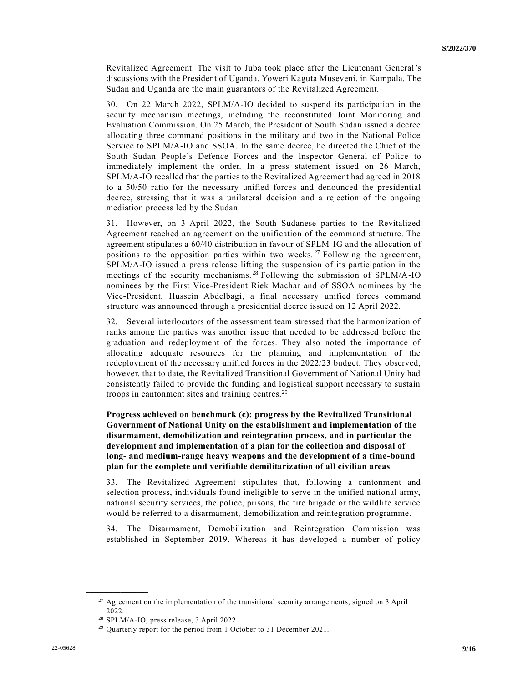Revitalized Agreement. The visit to Juba took place after the Lieutenant General's discussions with the President of Uganda, Yoweri Kaguta Museveni, in Kampala. The Sudan and Uganda are the main guarantors of the Revitalized Agreement.

30. On 22 March 2022, SPLM/A-IO decided to suspend its participation in the security mechanism meetings, including the reconstituted Joint Monitoring and Evaluation Commission. On 25 March, the President of South Sudan issued a decree allocating three command positions in the military and two in the National Police Service to SPLM/A-IO and SSOA. In the same decree, he directed the Chief of the South Sudan People's Defence Forces and the Inspector General of Police to immediately implement the order. In a press statement issued on 26 March, SPLM/A-IO recalled that the parties to the Revitalized Agreement had agreed in 2018 to a 50/50 ratio for the necessary unified forces and denounced the presidential decree, stressing that it was a unilateral decision and a rejection of the ongoing mediation process led by the Sudan.

31. However, on 3 April 2022, the South Sudanese parties to the Revitalized Agreement reached an agreement on the unification of the command structure. The agreement stipulates a 60/40 distribution in favour of SPLM-IG and the allocation of positions to the opposition parties within two weeks.<sup>27</sup> Following the agreement, SPLM/A-IO issued a press release lifting the suspension of its participation in the meetings of the security mechanisms. <sup>28</sup> Following the submission of SPLM/A-IO nominees by the First Vice-President Riek Machar and of SSOA nominees by the Vice-President, Hussein Abdelbagi, a final necessary unified forces command structure was announced through a presidential decree issued on 12 April 2022.

32. Several interlocutors of the assessment team stressed that the harmonization of ranks among the parties was another issue that needed to be addressed before the graduation and redeployment of the forces. They also noted the importance of allocating adequate resources for the planning and implementation of the redeployment of the necessary unified forces in the 2022/23 budget. They observed, however, that to date, the Revitalized Transitional Government of National Unity had consistently failed to provide the funding and logistical support necessary to sustain troops in cantonment sites and training centres.<sup>29</sup>

**Progress achieved on benchmark (c): progress by the Revitalized Transitional Government of National Unity on the establishment and implementation of the disarmament, demobilization and reintegration process, and in particular the development and implementation of a plan for the collection and disposal of long- and medium-range heavy weapons and the development of a time-bound plan for the complete and verifiable demilitarization of all civilian areas**

33. The Revitalized Agreement stipulates that, following a cantonment and selection process, individuals found ineligible to serve in the unified national army, national security services, the police, prisons, the fire brigade or the wildlife service would be referred to a disarmament, demobilization and reintegration programme.

34. The Disarmament, Demobilization and Reintegration Commission was established in September 2019. Whereas it has developed a number of policy

<sup>&</sup>lt;sup>27</sup> Agreement on the implementation of the transitional security arrangements, signed on 3 April 2022.

<sup>28</sup> SPLM/A-IO, press release, 3 April 2022.

<sup>&</sup>lt;sup>29</sup> Quarterly report for the period from 1 October to 31 December 2021.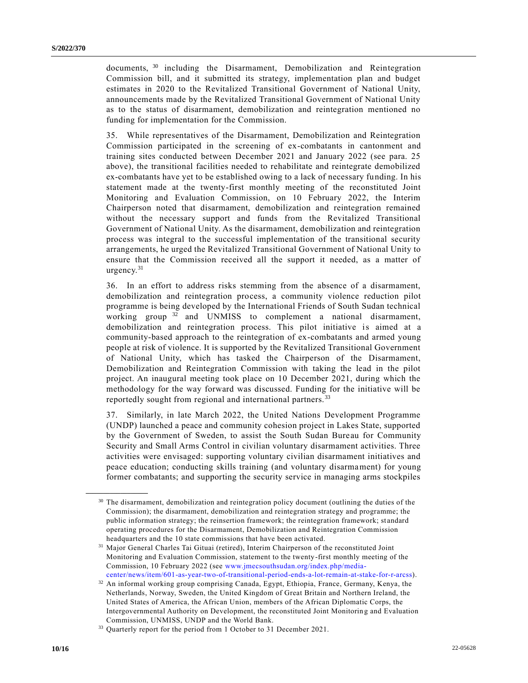documents, <sup>30</sup> including the Disarmament, Demobilization and Reintegration Commission bill, and it submitted its strategy, implementation plan and budget estimates in 2020 to the Revitalized Transitional Government of National Unity, announcements made by the Revitalized Transitional Government of National Unity as to the status of disarmament, demobilization and reintegration mentioned no funding for implementation for the Commission.

35. While representatives of the Disarmament, Demobilization and Reintegration Commission participated in the screening of ex-combatants in cantonment and training sites conducted between December 2021 and January 2022 (see para. 25 above), the transitional facilities needed to rehabilitate and reintegrate demobilized ex-combatants have yet to be established owing to a lack of necessary funding. In his statement made at the twenty-first monthly meeting of the reconstituted Joint Monitoring and Evaluation Commission, on 10 February 2022, the Interim Chairperson noted that disarmament, demobilization and reintegration remained without the necessary support and funds from the Revitalized Transitional Government of National Unity. As the disarmament, demobilization and reintegration process was integral to the successful implementation of the transitional security arrangements, he urged the Revitalized Transitional Government of National Unity to ensure that the Commission received all the support it needed, as a matter of urgency.<sup>31</sup>

36. In an effort to address risks stemming from the absence of a disarmament, demobilization and reintegration process, a community violence reduction pilot programme is being developed by the International Friends of South Sudan technical working group<sup>32</sup> and UNMISS to complement a national disarmament, demobilization and reintegration process. This pilot initiative is aimed at a community-based approach to the reintegration of ex-combatants and armed young people at risk of violence. It is supported by the Revitalized Transitional Government of National Unity, which has tasked the Chairperson of the Disarmament, Demobilization and Reintegration Commission with taking the lead in the pilot project. An inaugural meeting took place on 10 December 2021, during which the methodology for the way forward was discussed. Funding for the initiative will be reportedly sought from regional and international partners.<sup>33</sup>

37. Similarly, in late March 2022, the United Nations Development Programme (UNDP) launched a peace and community cohesion project in Lakes State, supported by the Government of Sweden, to assist the South Sudan Bureau for Community Security and Small Arms Control in civilian voluntary disarmament activities. Three activities were envisaged: supporting voluntary civilian disarmament initiatives and peace education; conducting skills training (and voluntary disarmament) for young former combatants; and supporting the security service in managing arms stockpiles

<sup>&</sup>lt;sup>30</sup> The disarmament, demobilization and reintegration policy document (outlining the duties of the Commission); the disarmament, demobilization and reintegration strategy and programme; the public information strategy; the reinsertion framework; the reintegration framework; standard operating procedures for the Disarmament, Demobilization and Reintegration Commission headquarters and the 10 state commissions that have been activated.

<sup>31</sup> Major General Charles Tai Gituai (retired), Interim Chairperson of the reconstituted Joint Monitoring and Evaluation Commission, statement to the twenty-first monthly meeting of the Commission, 10 February 2022 (see [www.jmecsouthsudan.org/index.php/media](http://www.jmecsouthsudan.org/index.php/media-center/news/item/601-as-year-two-of-transitional-period-ends-a-lot-remain-at-stake-for-r-arcss)[center/news/item/601-as-year-two-of-transitional-period-ends-a-lot-remain-at-stake-for-r-arcss\)](http://www.jmecsouthsudan.org/index.php/media-center/news/item/601-as-year-two-of-transitional-period-ends-a-lot-remain-at-stake-for-r-arcss).

<sup>32</sup> An informal working group comprising Canada, Egypt, Ethiopia, France, Germany, Kenya, the Netherlands, Norway, Sweden, the United Kingdom of Great Britain and Northern Ireland, the United States of America, the African Union, members of the African Diplomatic Corps, the Intergovernmental Authority on Development, the reconstituted Joint Monitorin g and Evaluation Commission, UNMISS, UNDP and the World Bank.

<sup>&</sup>lt;sup>33</sup> Quarterly report for the period from 1 October to 31 December 2021.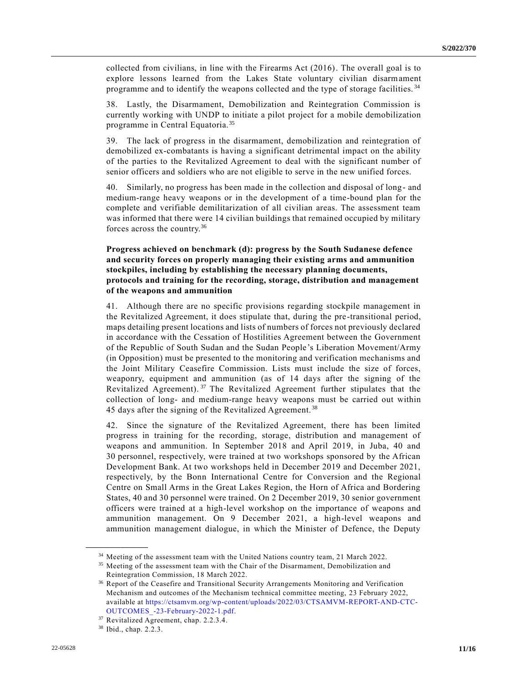collected from civilians, in line with the Firearms Act (2016). The overall goal is to explore lessons learned from the Lakes State voluntary civilian disarmament programme and to identify the weapons collected and the type of storage facilities. <sup>34</sup>

38. Lastly, the Disarmament, Demobilization and Reintegration Commission is currently working with UNDP to initiate a pilot project for a mobile demobilization programme in Central Equatoria.<sup>35</sup>

39. The lack of progress in the disarmament, demobilization and reintegration of demobilized ex-combatants is having a significant detrimental impact on the ability of the parties to the Revitalized Agreement to deal with the significant number of senior officers and soldiers who are not eligible to serve in the new unified forces.

40. Similarly, no progress has been made in the collection and disposal of long- and medium-range heavy weapons or in the development of a time-bound plan for the complete and verifiable demilitarization of all civilian areas. The assessment team was informed that there were 14 civilian buildings that remained occupied by military forces across the country.<sup>36</sup>

#### **Progress achieved on benchmark (d): progress by the South Sudanese defence and security forces on properly managing their existing arms and ammunition stockpiles, including by establishing the necessary planning documents, protocols and training for the recording, storage, distribution and management of the weapons and ammunition**

41. Although there are no specific provisions regarding stockpile management in the Revitalized Agreement, it does stipulate that, during the pre-transitional period, maps detailing present locations and lists of numbers of forces not previously declared in accordance with the Cessation of Hostilities Agreement between the Government of the Republic of South Sudan and the Sudan People's Liberation Movement/Army (in Opposition) must be presented to the monitoring and verification mechanisms and the Joint Military Ceasefire Commission. Lists must include the size of forces, weaponry, equipment and ammunition (as of 14 days after the signing of the Revitalized Agreement).<sup>37</sup> The Revitalized Agreement further stipulates that the collection of long- and medium-range heavy weapons must be carried out within 45 days after the signing of the Revitalized Agreement. <sup>38</sup>

42. Since the signature of the Revitalized Agreement, there has been limited progress in training for the recording, storage, distribution and management of weapons and ammunition. In September 2018 and April 2019, in Juba, 40 and 30 personnel, respectively, were trained at two workshops sponsored by the African Development Bank. At two workshops held in December 2019 and December 2021, respectively, by the Bonn International Centre for Conversion and the Regional Centre on Small Arms in the Great Lakes Region, the Horn of Africa and Bordering States, 40 and 30 personnel were trained. On 2 December 2019, 30 senior government officers were trained at a high-level workshop on the importance of weapons and ammunition management. On 9 December 2021, a high-level weapons and ammunition management dialogue, in which the Minister of Defence, the Deputy

<sup>&</sup>lt;sup>34</sup> Meeting of the assessment team with the United Nations country team, 21 March 2022.

<sup>&</sup>lt;sup>35</sup> Meeting of the assessment team with the Chair of the Disarmament, Demobilization and Reintegration Commission, 18 March 2022.

<sup>36</sup> Report of the Ceasefire and Transitional Security Arrangements Monitoring and Verification Mechanism and outcomes of the Mechanism technical committee meeting, 23 February 2022, available at [https://ctsamvm.org/wp-content/uploads/2022/03/CTSAMVM-REPORT-AND-CTC-](https://ctsamvm.org/wp-content/uploads/2022/03/CTSAMVM-REPORT-AND-CTC-OUTCOMES_-23-February-2022-1.pdf)[OUTCOMES\\_-23-February-2022-1.pdf.](https://ctsamvm.org/wp-content/uploads/2022/03/CTSAMVM-REPORT-AND-CTC-OUTCOMES_-23-February-2022-1.pdf)

<sup>37</sup> Revitalized Agreement, chap. 2.2.3.4.

<sup>38</sup> Ibid., chap. 2.2.3.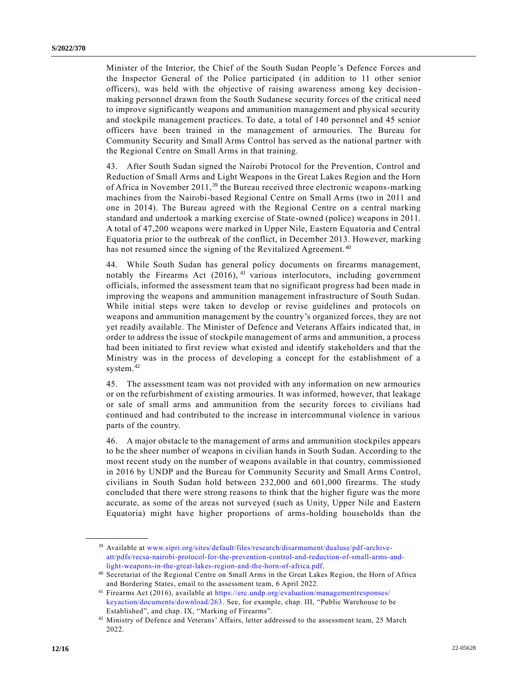Minister of the Interior, the Chief of the South Sudan People 's Defence Forces and the Inspector General of the Police participated (in addition to 11 other senior officers), was held with the objective of raising awareness among key decisionmaking personnel drawn from the South Sudanese security forces of the critical need to improve significantly weapons and ammunition management and physical security and stockpile management practices. To date, a total of 140 personnel and 45 senior officers have been trained in the management of armouries. The Bureau for Community Security and Small Arms Control has served as the national partner with the Regional Centre on Small Arms in that training.

43. After South Sudan signed the Nairobi Protocol for the Prevention, Control and Reduction of Small Arms and Light Weapons in the Great Lakes Region and the Horn of Africa in November 2011,  $39$  the Bureau received three electronic weapons-marking machines from the Nairobi-based Regional Centre on Small Arms (two in 2011 and one in 2014). The Bureau agreed with the Regional Centre on a central marking standard and undertook a marking exercise of State-owned (police) weapons in 2011. A total of 47,200 weapons were marked in Upper Nile, Eastern Equatoria and Central Equatoria prior to the outbreak of the conflict, in December 2013. However, marking has not resumed since the signing of the Revitalized Agreement.<sup>40</sup>

44. While South Sudan has general policy documents on firearms management, notably the Firearms Act  $(2016)$ , <sup>41</sup> various interlocutors, including government officials, informed the assessment team that no significant progress had been made in improving the weapons and ammunition management infrastructure of South Sudan. While initial steps were taken to develop or revise guidelines and protocols on weapons and ammunition management by the country's organized forces, they are not yet readily available. The Minister of Defence and Veterans Affairs indicated that, in order to address the issue of stockpile management of arms and ammunition, a process had been initiated to first review what existed and identify stakeholders and that the Ministry was in the process of developing a concept for the establishment of a system.<sup>42</sup>

45. The assessment team was not provided with any information on new armouries or on the refurbishment of existing armouries. It was informed, however, that leakage or sale of small arms and ammunition from the security forces to civilians had continued and had contributed to the increase in intercommunal violence in various parts of the country.

46. A major obstacle to the management of arms and ammunition stockpiles appears to be the sheer number of weapons in civilian hands in South Sudan. According to the most recent study on the number of weapons available in that country, commissioned in 2016 by UNDP and the Bureau for Community Security and Small Arms Control, civilians in South Sudan hold between 232,000 and 601,000 firearms. The study concluded that there were strong reasons to think that the higher figure was the more accurate, as some of the areas not surveyed (such as Unity, Upper Nile and Eastern Equatoria) might have higher proportions of arms-holding households than the

<sup>39</sup> Available at [www.sipri.org/sites/default/files/research/disarmament/dualuse/pdf-archive](http://www.sipri.org/sites/default/files/research/disarmament/dualuse/pdf-archive-att/pdfs/recsa-nairobi-protocol-for-the-prevention-control-and-reduction-of-small-arms-and-light-weapons-in-the-great-lakes-region-and-the-horn-of-africa.pdf)[att/pdfs/recsa-nairobi-protocol-for-the-prevention-control-and-reduction-of-small-arms-and](http://www.sipri.org/sites/default/files/research/disarmament/dualuse/pdf-archive-att/pdfs/recsa-nairobi-protocol-for-the-prevention-control-and-reduction-of-small-arms-and-light-weapons-in-the-great-lakes-region-and-the-horn-of-africa.pdf)[light-weapons-in-the-great-lakes-region-and-the-horn-of-africa.pdf.](http://www.sipri.org/sites/default/files/research/disarmament/dualuse/pdf-archive-att/pdfs/recsa-nairobi-protocol-for-the-prevention-control-and-reduction-of-small-arms-and-light-weapons-in-the-great-lakes-region-and-the-horn-of-africa.pdf)

<sup>40</sup> Secretariat of the Regional Centre on Small Arms in the Great Lakes Region, the Horn of Africa and Bordering States, email to the assessment team, 6 April 2022.

<sup>41</sup> Firearms Act (2016), available at [https://erc.undp.org/evaluation/managementresponses/](https://erc.undp.org/evaluation/managementresponses/keyaction/documents/download/263)  [keyaction/documents/download/263.](https://erc.undp.org/evaluation/managementresponses/keyaction/documents/download/263) See, for example, chap. III, "Public Warehouse to be Established", and chap. IX, "Marking of Firearms".

<sup>&</sup>lt;sup>42</sup> Ministry of Defence and Veterans' Affairs, letter addressed to the assessment team, 25 March 2022.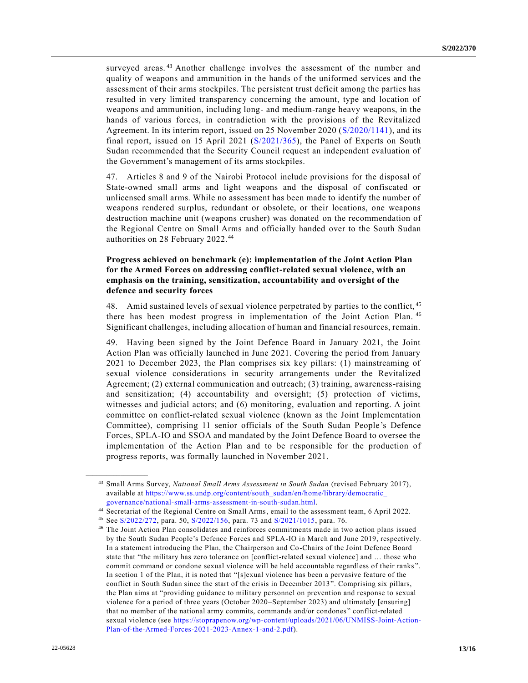surveyed areas.<sup>43</sup> Another challenge involves the assessment of the number and quality of weapons and ammunition in the hands of the uniformed services and the assessment of their arms stockpiles. The persistent trust deficit among the parties has resulted in very limited transparency concerning the amount, type and location of weapons and ammunition, including long- and medium-range heavy weapons, in the hands of various forces, in contradiction with the provisions of the Revitalized Agreement. In its interim report, issued on 25 November 2020 [\(S/2020/1141\)](https://undocs.org/en/S/2020/1141), and its final report, issued on 15 April 2021 [\(S/2021/365\)](https://undocs.org/en/S/2021/365), the Panel of Experts on South Sudan recommended that the Security Council request an independent evaluation of the Government's management of its arms stockpiles.

47. Articles 8 and 9 of the Nairobi Protocol include provisions for the disposal of State-owned small arms and light weapons and the disposal of confiscated or unlicensed small arms. While no assessment has been made to identify the number of weapons rendered surplus, redundant or obsolete, or their locations, one weapons destruction machine unit (weapons crusher) was donated on the recommendation of the Regional Centre on Small Arms and officially handed over to the South Sudan authorities on 28 February 2022.<sup>44</sup>

#### **Progress achieved on benchmark (e): implementation of the Joint Action Plan for the Armed Forces on addressing conflict-related sexual violence, with an emphasis on the training, sensitization, accountability and oversight of the defence and security forces**

48. Amid sustained levels of sexual violence perpetrated by parties to the conflict, 45 there has been modest progress in implementation of the Joint Action Plan. 46 Significant challenges, including allocation of human and financial resources, remain.

49. Having been signed by the Joint Defence Board in January 2021, the Joint Action Plan was officially launched in June 2021. Covering the period from January 2021 to December 2023, the Plan comprises six key pillars: (1) mainstreaming of sexual violence considerations in security arrangements under the Revitalized Agreement; (2) external communication and outreach; (3) training, awareness-raising and sensitization; (4) accountability and oversight; (5) protection of victims, witnesses and judicial actors; and (6) monitoring, evaluation and reporting. A joint committee on conflict-related sexual violence (known as the Joint Implementation Committee), comprising 11 senior officials of the South Sudan People's Defence Forces, SPLA-IO and SSOA and mandated by the Joint Defence Board to oversee the implementation of the Action Plan and to be responsible for the production of progress reports, was formally launched in November 2021.

<sup>43</sup> Small Arms Survey, *National Small Arms Assessment in South Sudan* (revised February 2017), available at [https://www.ss.undp.org/content/south\\_sudan/en/home/library/democratic\\_](https://www.ss.undp.org/content/south_sudan/en/home/library/democratic_governance/national-small-arms-assessment-in-south-sudan.html)  [governance/national-small-arms-assessment-in-south-sudan.html.](https://www.ss.undp.org/content/south_sudan/en/home/library/democratic_governance/national-small-arms-assessment-in-south-sudan.html)

<sup>44</sup> Secretariat of the Regional Centre on Small Arms, email to the assessment team, 6 April 2022.

<sup>45</sup> See [S/2022/272,](https://undocs.org/en/S/2022/272) para. 50, [S/2022/156,](https://undocs.org/en/S/2022/156) para. 73 and [S/2021/1015,](https://undocs.org/en/S/2021/1015) para. 76.

<sup>46</sup> The Joint Action Plan consolidates and reinforces commitments made in two action plans issued by the South Sudan People's Defence Forces and SPLA-IO in March and June 2019, respectively. In a statement introducing the Plan, the Chairperson and Co-Chairs of the Joint Defence Board state that "the military has zero tolerance on [conflict-related sexual violence] and … those who commit command or condone sexual violence will be held accountable regardless of their ranks ". In section 1 of the Plan, it is noted that "[s]exual violence has been a pervasive feature of the conflict in South Sudan since the start of the crisis in December 2013". Comprising six pillars, the Plan aims at "providing guidance to military personnel on prevention and response to sexual violence for a period of three years (October 2020–September 2023) and ultimately [ensuring] that no member of the national army commits, commands and/or condones " conflict-related sexual violence (see [https://stoprapenow.org/wp-content/uploads/2021/06/UNMISS-Joint-Action-](https://stoprapenow.org/wp-content/uploads/2021/06/UNMISS-Joint-Action-Plan-of-the-Armed-Forces-2021-2023-Annex-1-and-2.pdf)[Plan-of-the-Armed-Forces-2021-2023-Annex-1-and-2.pdf\)](https://stoprapenow.org/wp-content/uploads/2021/06/UNMISS-Joint-Action-Plan-of-the-Armed-Forces-2021-2023-Annex-1-and-2.pdf).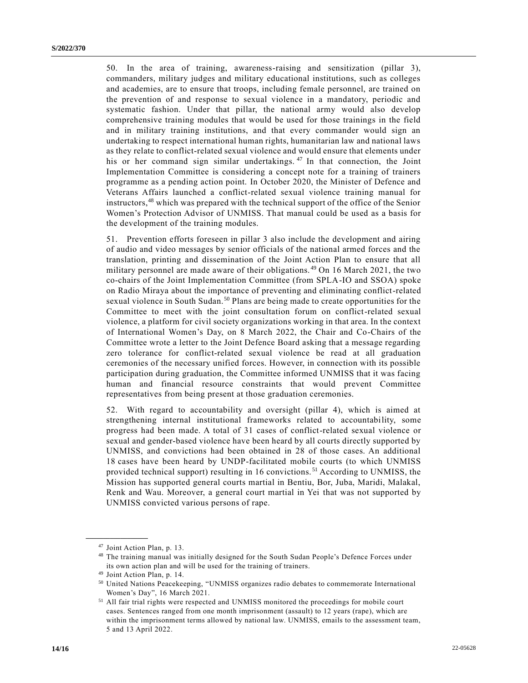50. In the area of training, awareness-raising and sensitization (pillar 3), commanders, military judges and military educational institutions, such as colleges and academies, are to ensure that troops, including female personnel, are trained on the prevention of and response to sexual violence in a mandatory, periodic and systematic fashion. Under that pillar, the national army would also develop comprehensive training modules that would be used for those trainings in the field and in military training institutions, and that every commander would sign an undertaking to respect international human rights, humanitarian law and national laws as they relate to conflict-related sexual violence and would ensure that elements under his or her command sign similar undertakings.<sup>47</sup> In that connection, the Joint Implementation Committee is considering a concept note for a training of trainers programme as a pending action point. In October 2020, the Minister of Defence and Veterans Affairs launched a conflict-related sexual violence training manual for instructors,<sup>48</sup> which was prepared with the technical support of the office of the Senior Women's Protection Advisor of UNMISS. That manual could be used as a basis for the development of the training modules.

51. Prevention efforts foreseen in pillar 3 also include the development and airing of audio and video messages by senior officials of the national armed forces and the translation, printing and dissemination of the Joint Action Plan to ensure that all military personnel are made aware of their obligations. <sup>49</sup> On 16 March 2021, the two co-chairs of the Joint Implementation Committee (from SPLA-IO and SSOA) spoke on Radio Miraya about the importance of preventing and eliminating conflict-related sexual violence in South Sudan.<sup>50</sup> Plans are being made to create opportunities for the Committee to meet with the joint consultation forum on conflict-related sexual violence, a platform for civil society organizations working in that area. In the context of International Women's Day, on 8 March 2022, the Chair and Co-Chairs of the Committee wrote a letter to the Joint Defence Board asking that a message regarding zero tolerance for conflict-related sexual violence be read at all graduation ceremonies of the necessary unified forces. However, in connection with its possible participation during graduation, the Committee informed UNMISS that it was facing human and financial resource constraints that would prevent Committee representatives from being present at those graduation ceremonies.

52. With regard to accountability and oversight (pillar 4), which is aimed at strengthening internal institutional frameworks related to accountability, some progress had been made. A total of 31 cases of conflict-related sexual violence or sexual and gender-based violence have been heard by all courts directly supported by UNMISS, and convictions had been obtained in 28 of those cases. An additional 18 cases have been heard by UNDP-facilitated mobile courts (to which UNMISS provided technical support) resulting in 16 convictions. <sup>51</sup> According to UNMISS, the Mission has supported general courts martial in Bentiu, Bor, Juba, Maridi, Malakal, Renk and Wau. Moreover, a general court martial in Yei that was not supported by UNMISS convicted various persons of rape.

<sup>47</sup> Joint Action Plan, p. 13.

<sup>48</sup> The training manual was initially designed for the South Sudan People's Defence Forces under its own action plan and will be used for the training of trainers.

<sup>49</sup> Joint Action Plan, p. 14.

<sup>50</sup> United Nations Peacekeeping, "UNMISS organizes radio debates to commemorate International Women's Day", 16 March 2021.

<sup>51</sup> All fair trial rights were respected and UNMISS monitored the proceedings for mobile court cases. Sentences ranged from one month imprisonment (assault) to 12 years (rape), which are within the imprisonment terms allowed by national law. UNMISS, emails to the assessment team, 5 and 13 April 2022.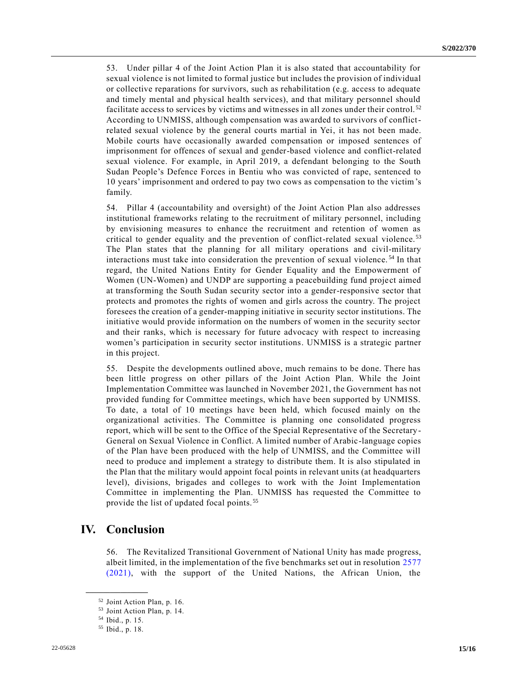53. Under pillar 4 of the Joint Action Plan it is also stated that accountability for sexual violence is not limited to formal justice but includes the provision of individual or collective reparations for survivors, such as rehabilitation (e.g. access to adequate and timely mental and physical health services), and that military personnel should facilitate access to services by victims and witnesses in all zones under their control. <sup>52</sup> According to UNMISS, although compensation was awarded to survivors of conflictrelated sexual violence by the general courts martial in Yei, it has not been made. Mobile courts have occasionally awarded compensation or imposed sentences of imprisonment for offences of sexual and gender-based violence and conflict-related sexual violence. For example, in April 2019, a defendant belonging to the South Sudan People's Defence Forces in Bentiu who was convicted of rape, sentenced to 10 years' imprisonment and ordered to pay two cows as compensation to the victim's family.

54. Pillar 4 (accountability and oversight) of the Joint Action Plan also addresses institutional frameworks relating to the recruitment of military personnel, including by envisioning measures to enhance the recruitment and retention of women as critical to gender equality and the prevention of conflict-related sexual violence.<sup>53</sup> The Plan states that the planning for all military operations and civil-military interactions must take into consideration the prevention of sexual violence. <sup>54</sup> In that regard, the United Nations Entity for Gender Equality and the Empowerment of Women (UN-Women) and UNDP are supporting a peacebuilding fund project aimed at transforming the South Sudan security sector into a gender-responsive sector that protects and promotes the rights of women and girls across the country. The project foresees the creation of a gender-mapping initiative in security sector institutions. The initiative would provide information on the numbers of women in the security sector and their ranks, which is necessary for future advocacy with respect to increasing women's participation in security sector institutions. UNMISS is a strategic partner in this project.

55. Despite the developments outlined above, much remains to be done. There has been little progress on other pillars of the Joint Action Plan. While the Joint Implementation Committee was launched in November 2021, the Government has not provided funding for Committee meetings, which have been supported by UNMISS. To date, a total of 10 meetings have been held, which focused mainly on the organizational activities. The Committee is planning one consolidated progress report, which will be sent to the Office of the Special Representative of the Secretary-General on Sexual Violence in Conflict. A limited number of Arabic-language copies of the Plan have been produced with the help of UNMISS, and the Committee will need to produce and implement a strategy to distribute them. It is also stipulated in the Plan that the military would appoint focal points in relevant units (at headquarters level), divisions, brigades and colleges to work with the Joint Implementation Committee in implementing the Plan. UNMISS has requested the Committee to provide the list of updated focal points. <sup>55</sup>

### **IV. Conclusion**

56. The Revitalized Transitional Government of National Unity has made progress, albeit limited, in the implementation of the five benchmarks set out in resolution [2577](https://undocs.org/en/S/RES/2577(2021))  [\(2021\),](https://undocs.org/en/S/RES/2577(2021)) with the support of the United Nations, the African Union, the

<sup>52</sup> Joint Action Plan, p. 16.

<sup>53</sup> Joint Action Plan, p. 14.

<sup>54</sup> Ibid., p. 15.

<sup>55</sup> Ibid., p. 18.